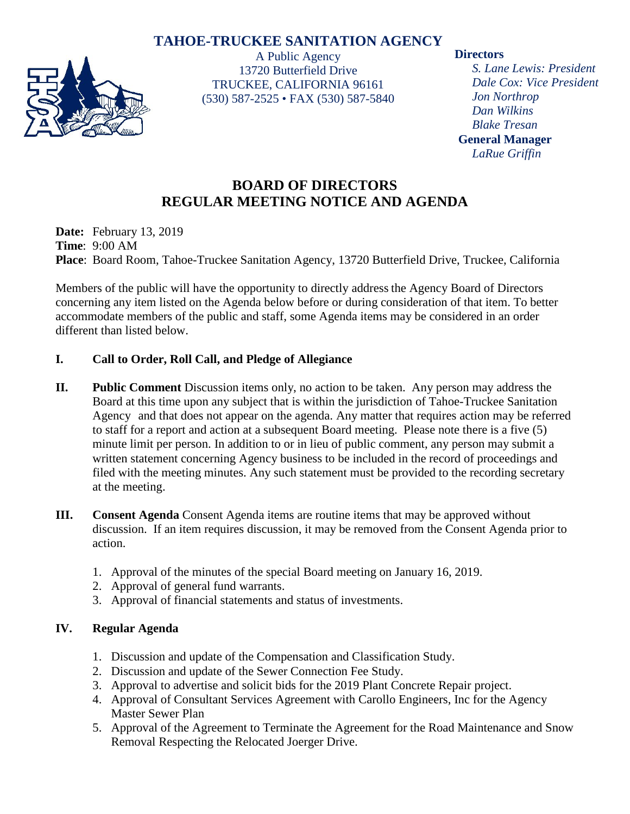## **TAHOE-TRUCKEE SANITATION AGENCY**



A Public Agency 13720 Butterfield Drive TRUCKEE, CALIFORNIA 96161 (530) 587-2525 • FAX (530) 587-5840

### **Directors**

*S. Lane Lewis: President Dale Cox: Vice President Jon Northrop Dan Wilkins Blake Tresan* **General Manager** *LaRue Griffin*

# **BOARD OF DIRECTORS REGULAR MEETING NOTICE AND AGENDA**

**Date:** February 13, 2019 **Time**: 9:00 AM **Place**: Board Room, Tahoe-Truckee Sanitation Agency, 13720 Butterfield Drive, Truckee, California

Members of the public will have the opportunity to directly address the Agency Board of Directors concerning any item listed on the Agenda below before or during consideration of that item. To better accommodate members of the public and staff, some Agenda items may be considered in an order different than listed below.

## **I. Call to Order, Roll Call, and Pledge of Allegiance**

- **II. Public Comment** Discussion items only, no action to be taken. Any person may address the Board at this time upon any subject that is within the jurisdiction of Tahoe-Truckee Sanitation Agency and that does not appear on the agenda. Any matter that requires action may be referred to staff for a report and action at a subsequent Board meeting. Please note there is a five (5) minute limit per person. In addition to or in lieu of public comment, any person may submit a written statement concerning Agency business to be included in the record of proceedings and filed with the meeting minutes. Any such statement must be provided to the recording secretary at the meeting.
- **III. Consent Agenda** Consent Agenda items are routine items that may be approved without discussion. If an item requires discussion, it may be removed from the Consent Agenda prior to action.
	- 1. Approval of the minutes of the special Board meeting on January 16, 2019.
	- 2. Approval of general fund warrants.
	- 3. Approval of financial statements and status of investments.

## **IV. Regular Agenda**

- 1. Discussion and update of the Compensation and Classification Study.
- 2. Discussion and update of the Sewer Connection Fee Study.
- 3. Approval to advertise and solicit bids for the 2019 Plant Concrete Repair project.
- 4. Approval of Consultant Services Agreement with Carollo Engineers, Inc for the Agency Master Sewer Plan
- 5. Approval of the Agreement to Terminate the Agreement for the Road Maintenance and Snow Removal Respecting the Relocated Joerger Drive.